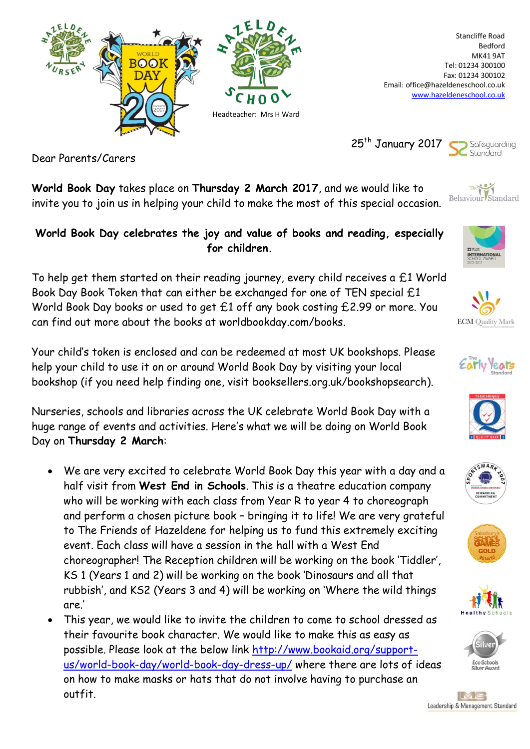

Stancliffe Road Bedford MK41 9AT Tel: 01234 300100 Fax: 01234 300102 Email: office@hazeldeneschool.co.uk [www.hazeldeneschool.co.uk](http://www.hazeldeneschool.co.uk/)

25<sup>th</sup> January 2017



Dear Parents/Carers

**World Book Day** takes place on **Thursday 2 March 2017**, and we would like to invite you to join us in helping your child to make the most of this special occasion.

## **World Book Day celebrates the joy and value of books and reading, especially for children.**

To help get them started on their reading journey, every child receives a £1 World Book Day Book Token that can either be exchanged for one of TEN special £1 World Book Day books or used to get £1 off any book costing £2.99 or more. You can find out more about the books at worldbookday.com/books.

Your child's token is enclosed and can be redeemed at most UK bookshops. Please help your child to use it on or around World Book Day by visiting your local bookshop (if you need help finding one, visit booksellers.org.uk/bookshopsearch).

Nurseries, schools and libraries across the UK celebrate World Book Day with a huge range of events and activities. Here's what we will be doing on World Book Day on **Thursday 2 March**:

- We are very excited to celebrate World Book Day this year with a day and a half visit from **West End in Schools**. This is a theatre education company who will be working with each class from Year R to year 4 to choreograph and perform a chosen picture book – bringing it to life! We are very grateful to The Friends of Hazeldene for helping us to fund this extremely exciting event. Each class will have a session in the hall with a West End choreographer! The Reception children will be working on the book 'Tiddler', KS 1 (Years 1 and 2) will be working on the book 'Dinosaurs and all that rubbish', and KS2 (Years 3 and 4) will be working on 'Where the wild things are.'
- This year, we would like to invite the children to come to school dressed as their favourite book character. We would like to make this as easy as possible. Please look at the below link [http://www.bookaid.org/support](http://www.bookaid.org/support-us/world-book-day/world-book-day-dress-up/)[us/world-book-day/world-book-day-dress-up/](http://www.bookaid.org/support-us/world-book-day/world-book-day-dress-up/) where there are lots of ideas on how to make masks or hats that do not involve having to purchase an outfit.



**INTERNATIONA**